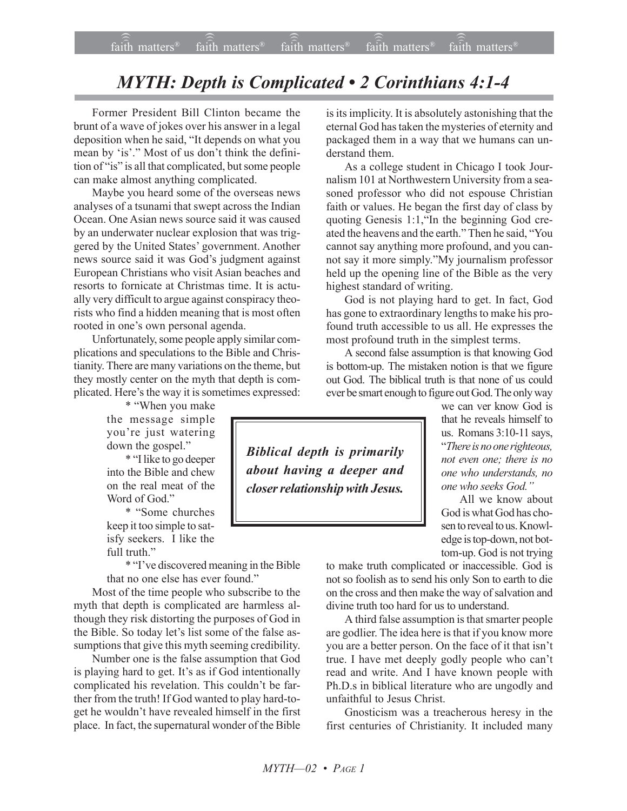## *MYTH: Depth is Complicated • 2 Corinthians 4:1-4*

Former President Bill Clinton became the brunt of a wave of jokes over his answer in a legal deposition when he said, "It depends on what you mean by 'is'." Most of us don't think the definition of "is" is all that complicated, but some people can make almost anything complicated.

Maybe you heard some of the overseas news analyses of a tsunami that swept across the Indian Ocean. One Asian news source said it was caused by an underwater nuclear explosion that was triggered by the United States' government. Another news source said it was God's judgment against European Christians who visit Asian beaches and resorts to fornicate at Christmas time. It is actually very difficult to argue against conspiracy theorists who find a hidden meaning that is most often rooted in one's own personal agenda.

Unfortunately, some people apply similar complications and speculations to the Bible and Christianity. There are many variations on the theme, but they mostly center on the myth that depth is complicated. Here's the way it is sometimes expressed:

\* "When you make the message simple you're just watering down the gospel."

\* "I like to go deeper into the Bible and chew on the real meat of the Word of God."

\* "Some churches keep it too simple to satisfy seekers. I like the full truth."

\* "I've discovered meaning in the Bible that no one else has ever found."

Most of the time people who subscribe to the myth that depth is complicated are harmless although they risk distorting the purposes of God in the Bible. So today let's list some of the false assumptions that give this myth seeming credibility.

Number one is the false assumption that God is playing hard to get. It's as if God intentionally complicated his revelation. This couldn't be farther from the truth! If God wanted to play hard-toget he wouldn't have revealed himself in the first place. In fact, the supernatural wonder of the Bible is its implicity. It is absolutely astonishing that the eternal God has taken the mysteries of eternity and packaged them in a way that we humans can understand them.

As a college student in Chicago I took Journalism 101 at Northwestern University from a seasoned professor who did not espouse Christian faith or values. He began the first day of class by quoting Genesis  $1:1$ , In the beginning God created the heavens and the earth." Then he said, "You cannot say anything more profound, and you cannot say it more simply."My journalism professor held up the opening line of the Bible as the very highest standard of writing.

God is not playing hard to get. In fact, God has gone to extraordinary lengths to make his profound truth accessible to us all. He expresses the most profound truth in the simplest terms.

A second false assumption is that knowing God is bottom-up. The mistaken notion is that we figure out God. The biblical truth is that none of us could ever be smart enough to figure out God. The only way

*Biblical depth is primarily about having a deeper and closer relationship with Jesus.*

we can ver know God is that he reveals himself to us. Romans 3:10-11 says, ì*There is no one righteous, not even one; there is no one who understands, no one who seeks God.î*

All we know about God is what God has chosen to reveal to us. Knowledge is top-down, not bottom-up. God is not trying

to make truth complicated or inaccessible. God is not so foolish as to send his only Son to earth to die on the cross and then make the way of salvation and divine truth too hard for us to understand.

A third false assumption is that smarter people are godlier. The idea here is that if you know more you are a better person. On the face of it that isn't true. I have met deeply godly people who can't read and write. And I have known people with Ph.D.s in biblical literature who are ungodly and unfaithful to Jesus Christ.

Gnosticism was a treacherous heresy in the first centuries of Christianity. It included many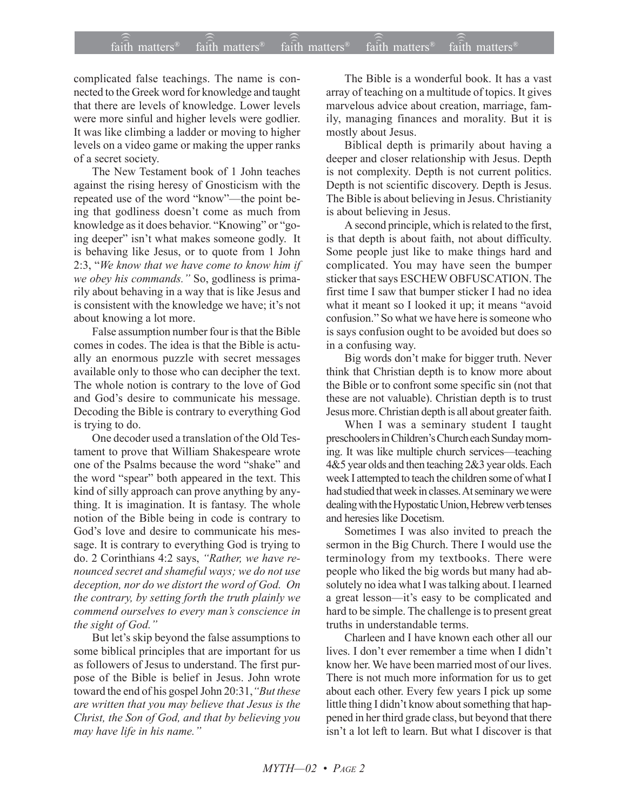## $\widehat{\widehat{\mathfrak{tair}}}$  matters  $^{\circ}$  faith matters faith matters  $^{\circ}$  faith matters faith matters  $^{\circ}$  $\widehat{\mathsf{fail}}$  matters<sup>®</sup> faith matters<sup>®</sup>  $\widehat{\text{fair}}$  matters<sup>®</sup>

complicated false teachings. The name is connected to the Greek word for knowledge and taught that there are levels of knowledge. Lower levels were more sinful and higher levels were godlier. It was like climbing a ladder or moving to higher levels on a video game or making the upper ranks of a secret society.

The New Testament book of 1 John teaches against the rising heresy of Gnosticism with the repeated use of the word "know"--- the point being that godliness doesn't come as much from knowledge as it does behavior. "Knowing" or "going deeper" isn't what makes someone godly. It is behaving like Jesus, or to quote from 1 John 2:3, "We know that we have come to know him if *we obey his commands.*<sup>*''*</sup> So, godliness is primarily about behaving in a way that is like Jesus and is consistent with the knowledge we have; it's not about knowing a lot more.

False assumption number four is that the Bible comes in codes. The idea is that the Bible is actually an enormous puzzle with secret messages available only to those who can decipher the text. The whole notion is contrary to the love of God and God's desire to communicate his message. Decoding the Bible is contrary to everything God is trying to do.

One decoder used a translation of the Old Testament to prove that William Shakespeare wrote one of the Psalms because the word "shake" and the word "spear" both appeared in the text. This kind of silly approach can prove anything by anything. It is imagination. It is fantasy. The whole notion of the Bible being in code is contrary to God's love and desire to communicate his message. It is contrary to everything God is trying to do. 2 Corinthians 4:2 says, "Rather, we have re*nounced secret and shameful ways; we do not use deception, nor do we distort the word of God. On the contrary, by setting forth the truth plainly we commend ourselves to every manís conscience in the sight of God.*"

But let's skip beyond the false assumptions to some biblical principles that are important for us as followers of Jesus to understand. The first purpose of the Bible is belief in Jesus. John wrote toward the end of his gospel John 20:31, "But these *are written that you may believe that Jesus is the Christ, the Son of God, and that by believing you may have life in his name.*"

The Bible is a wonderful book. It has a vast array of teaching on a multitude of topics. It gives marvelous advice about creation, marriage, family, managing finances and morality. But it is mostly about Jesus.

Biblical depth is primarily about having a deeper and closer relationship with Jesus. Depth is not complexity. Depth is not current politics. Depth is not scientific discovery. Depth is Jesus. The Bible is about believing in Jesus. Christianity is about believing in Jesus.

A second principle, which is related to the first, is that depth is about faith, not about difficulty. Some people just like to make things hard and complicated. You may have seen the bumper sticker that says ESCHEW OBFUSCATION. The first time I saw that bumper sticker I had no idea what it meant so I looked it up; it means "avoid confusion." So what we have here is someone who is says confusion ought to be avoided but does so in a confusing way.

Big words don't make for bigger truth. Never think that Christian depth is to know more about the Bible or to confront some specific sin (not that these are not valuable). Christian depth is to trust Jesus more. Christian depth is all about greater faith.

When I was a seminary student I taught preschoolers in Children's Church each Sunday morning. It was like multiple church services—teaching 4&5 year olds and then teaching 2&3 year olds. Each week I attempted to teach the children some of what I had studied that week in classes. At seminary we were dealing with the Hypostatic Union, Hebrew verb tenses and heresies like Docetism.

Sometimes I was also invited to preach the sermon in the Big Church. There I would use the terminology from my textbooks. There were people who liked the big words but many had absolutely no idea what I was talking about. I learned a great lesson—it's easy to be complicated and hard to be simple. The challenge is to present great truths in understandable terms.

Charleen and I have known each other all our lives. I don't ever remember a time when I didn't know her. We have been married most of our lives. There is not much more information for us to get about each other. Every few years I pick up some little thing I didn't know about something that happened in her third grade class, but beyond that there isn't a lot left to learn. But what I discover is that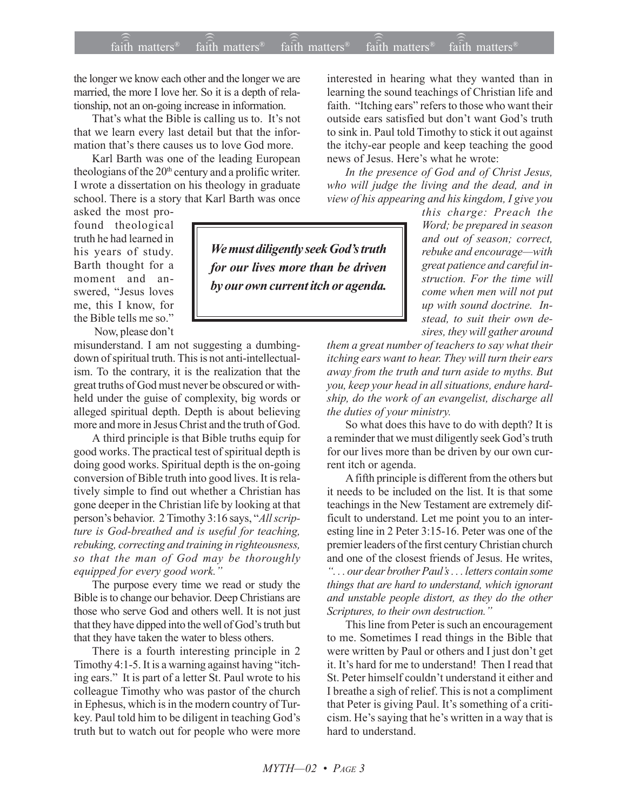## faith matters<sup>®</sup> faith matters<sup>®</sup> faith matters<sup>®</sup> faith matters<sup>®</sup> faith matters<sup>®</sup>

the longer we know each other and the longer we are married, the more I love her. So it is a depth of relationship, not an on-going increase in information.

That's what the Bible is calling us to. It's not that we learn every last detail but that the information that's there causes us to love God more.

Karl Barth was one of the leading European theologians of the 20<sup>th</sup> century and a prolific writer. I wrote a dissertation on his theology in graduate school. There is a story that Karl Barth was once

asked the most profound theological truth he had learned in his years of study. Barth thought for a moment and answered, "Jesus loves me, this I know, for the Bible tells me so."

Now, please don't

misunderstand. I am not suggesting a dumbingdown of spiritual truth. This is not anti-intellectualism. To the contrary, it is the realization that the great truths of God must never be obscured or withheld under the guise of complexity, big words or alleged spiritual depth. Depth is about believing more and more in Jesus Christ and the truth of God.

A third principle is that Bible truths equip for good works. The practical test of spiritual depth is doing good works. Spiritual depth is the on-going conversion of Bible truth into good lives. It is relatively simple to find out whether a Christian has gone deeper in the Christian life by looking at that person's behavior. 2 Timothy 3:16 says, "All scripture is God-breathed and is useful for teaching, rebuking, correcting and training in righteousness, so that the man of God may be thoroughly equipped for every good work."

The purpose every time we read or study the Bible is to change our behavior. Deep Christians are those who serve God and others well. It is not just that they have dipped into the well of God's truth but that they have taken the water to bless others.

There is a fourth interesting principle in 2 Timothy 4:1-5. It is a warning against having "itching ears." It is part of a letter St. Paul wrote to his colleague Timothy who was pastor of the church in Ephesus, which is in the modern country of Turkey. Paul told him to be diligent in teaching God's truth but to watch out for people who were more

We must diligently seek God's truth for our lives more than be driven by our own current itch or agenda.

interested in hearing what they wanted than in learning the sound teachings of Christian life and faith. "Itching ears" refers to those who want their outside ears satisfied but don't want God's truth to sink in. Paul told Timothy to stick it out against the itchy-ear people and keep teaching the good news of Jesus. Here's what he wrote:

In the presence of God and of Christ Jesus, who will judge the living and the dead, and in view of his appearing and his kingdom, I give you

> this charge: Preach the Word; be prepared in season and out of season; correct, rebuke and encourage-with great patience and careful instruction. For the time will come when men will not put up with sound doctrine. Instead, to suit their own desires, they will gather around

them a great number of teachers to say what their itching ears want to hear. They will turn their ears away from the truth and turn aside to myths. But you, keep your head in all situations, endure hardship, do the work of an evangelist, discharge all the duties of your ministry.

So what does this have to do with depth? It is a reminder that we must diligently seek God's truth for our lives more than be driven by our own current itch or agenda.

A fifth principle is different from the others but it needs to be included on the list. It is that some teachings in the New Testament are extremely difficult to understand. Let me point you to an interesting line in 2 Peter 3:15-16. Peter was one of the premier leaders of the first century Christian church and one of the closest friends of Jesus. He writes, "... our dear brother Paul's... letters contain some things that are hard to understand, which ignorant and unstable people distort, as they do the other Scriptures, to their own destruction."

This line from Peter is such an encouragement to me. Sometimes I read things in the Bible that were written by Paul or others and I just don't get it. It's hard for me to understand! Then I read that St. Peter himself couldn't understand it either and I breathe a sigh of relief. This is not a compliment that Peter is giving Paul. It's something of a criticism. He's saying that he's written in a way that is hard to understand